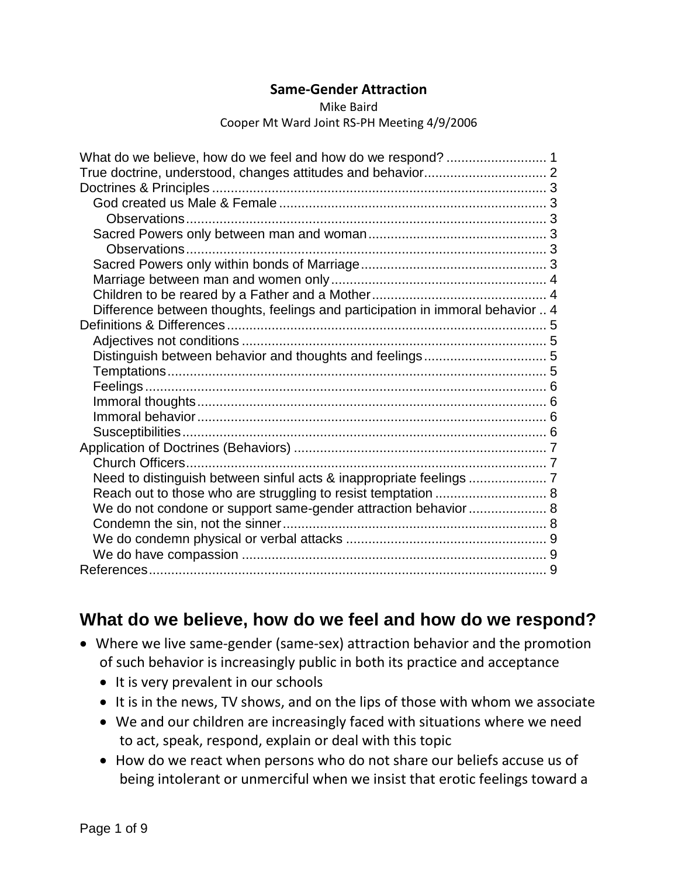#### **Same-Gender Attraction**

#### Mike Baird Cooper Mt Ward Joint RS-PH Meeting 4/9/2006

| Difference between thoughts, feelings and participation in immoral behavior  4 |  |
|--------------------------------------------------------------------------------|--|
|                                                                                |  |
|                                                                                |  |
|                                                                                |  |
|                                                                                |  |
|                                                                                |  |
|                                                                                |  |
|                                                                                |  |
|                                                                                |  |
|                                                                                |  |
| Church Officers                                                                |  |
|                                                                                |  |
|                                                                                |  |
| We do not condone or support same-gender attraction behavior 8                 |  |
|                                                                                |  |
|                                                                                |  |
|                                                                                |  |
|                                                                                |  |

## <span id="page-0-0"></span>**What do we believe, how do we feel and how do we respond?**

- Where we live same-gender (same-sex) attraction behavior and the promotion of such behavior is increasingly public in both its practice and acceptance
	- It is very prevalent in our schools
	- It is in the news, TV shows, and on the lips of those with whom we associate
	- We and our children are increasingly faced with situations where we need to act, speak, respond, explain or deal with this topic
	- How do we react when persons who do not share our beliefs accuse us of being intolerant or unmerciful when we insist that erotic feelings toward a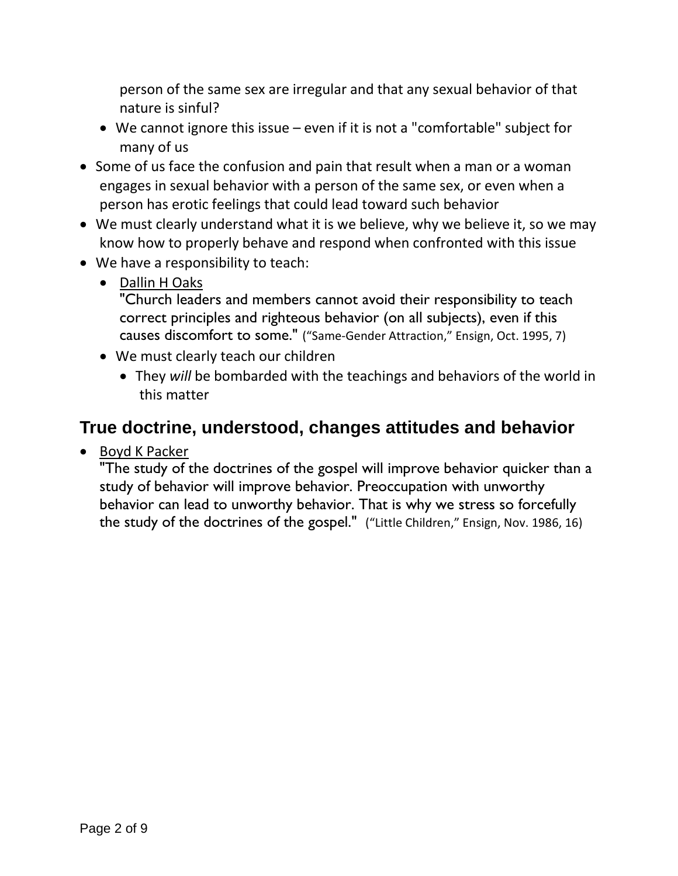person of the same sex are irregular and that any sexual behavior of that nature is sinful?

- We cannot ignore this issue even if it is not a "comfortable" subject for many of us
- Some of us face the confusion and pain that result when a man or a woman engages in sexual behavior with a person of the same sex, or even when a person has erotic feelings that could lead toward such behavior
- We must clearly understand what it is we believe, why we believe it, so we may know how to properly behave and respond when confronted with this issue
- We have a responsibility to teach:
	- Dallin H Oaks

"Church leaders and members cannot avoid their responsibility to teach correct principles and righteous behavior (on all subjects), even if this causes discomfort to some." ("Same-Gender Attraction," Ensign, Oct. 1995, 7)

- We must clearly teach our children
	- They *will* be bombarded with the teachings and behaviors of the world in this matter

## <span id="page-1-0"></span>**True doctrine, understood, changes attitudes and behavior**

• Boyd K Packer

"The study of the doctrines of the gospel will improve behavior quicker than a study of behavior will improve behavior. Preoccupation with unworthy behavior can lead to unworthy behavior. That is why we stress so forcefully the study of the doctrines of the gospel." ("Little Children," Ensign, Nov. 1986, 16)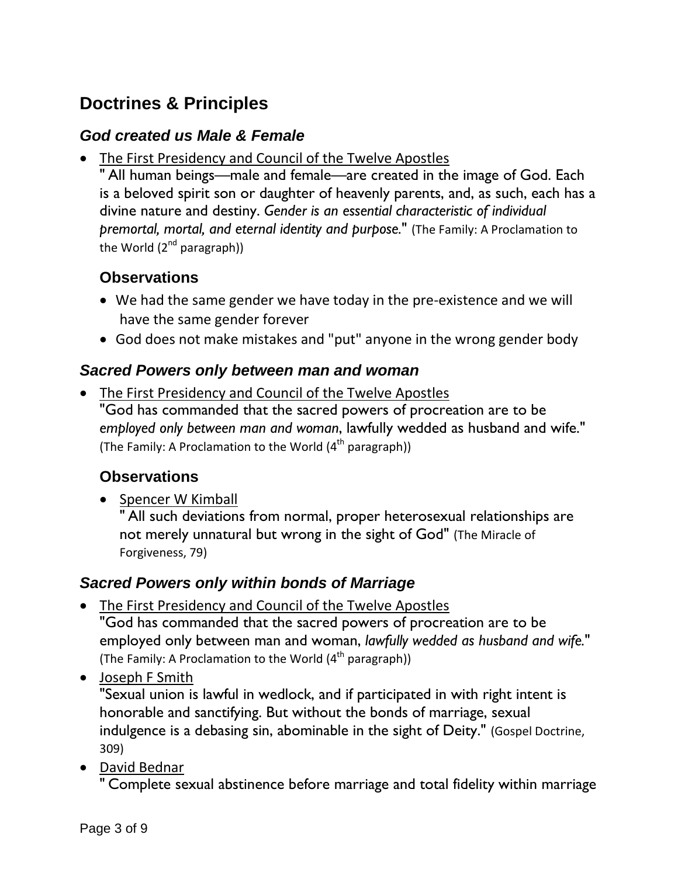## <span id="page-2-0"></span>**Doctrines & Principles**

#### <span id="page-2-1"></span>*God created us Male & Female*

• The First Presidency and Council of the Twelve Apostles

" All human beings—male and female—are created in the image of God. Each is a beloved spirit son or daughter of heavenly parents, and, as such, each has a divine nature and destiny. *Gender is an essential characteristic of individual premortal, mortal, and eternal identity and purpose.*" (The Family: A Proclamation to the World  $(2^{nd}$  paragraph))

### <span id="page-2-2"></span>**Observations**

- We had the same gender we have today in the pre-existence and we will have the same gender forever
- God does not make mistakes and "put" anyone in the wrong gender body

#### <span id="page-2-3"></span>*Sacred Powers only between man and woman*

• The First Presidency and Council of the Twelve Apostles "God has commanded that the sacred powers of procreation are to be *employed only between man and woman*, lawfully wedded as husband and wife." (The Family: A Proclamation to the World  $(4<sup>th</sup>$  paragraph))

#### <span id="page-2-4"></span>**Observations**

• Spencer W Kimball

" All such deviations from normal, proper heterosexual relationships are not merely unnatural but wrong in the sight of God" (The Miracle of Forgiveness, 79)

#### <span id="page-2-5"></span>*Sacred Powers only within bonds of Marriage*

- The First Presidency and Council of the Twelve Apostles "God has commanded that the sacred powers of procreation are to be employed only between man and woman, *lawfully wedded as husband and wife.*" (The Family: A Proclamation to the World  $(4<sup>th</sup>$  paragraph))
- Joseph F Smith

"Sexual union is lawful in wedlock, and if participated in with right intent is honorable and sanctifying. But without the bonds of marriage, sexual indulgence is a debasing sin, abominable in the sight of Deity." (Gospel Doctrine, 309)

• David Bednar

" Complete sexual abstinence before marriage and total fidelity within marriage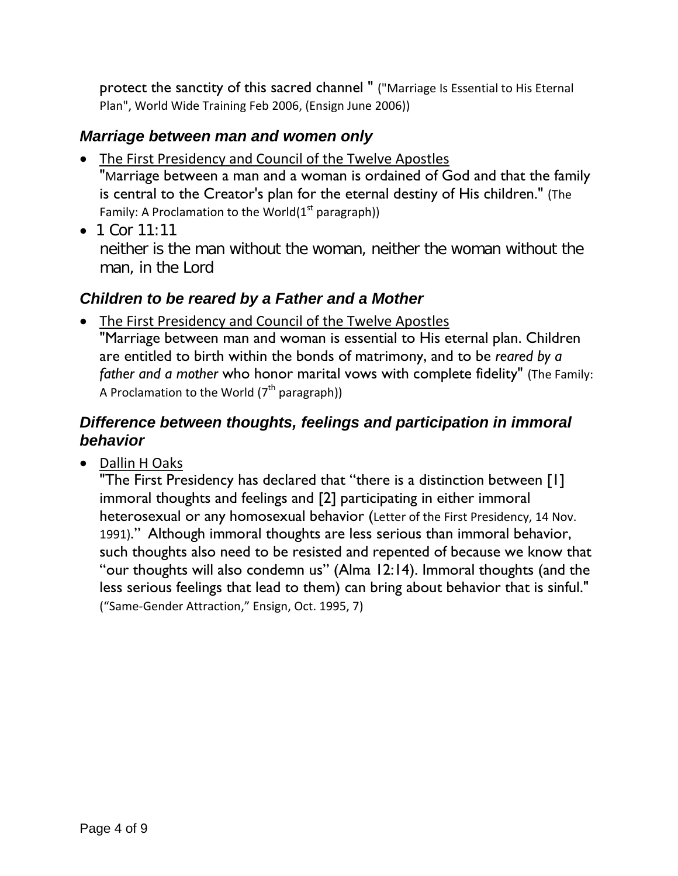protect the sanctity of this sacred channel " ("Marriage Is Essential to His Eternal Plan", World Wide Training Feb 2006, (Ensign June 2006))

### <span id="page-3-0"></span>*Marriage between man and women only*

- The First Presidency and Council of the Twelve Apostles "Marriage between a man and a woman is ordained of God and that the family is central to the Creator's plan for the eternal destiny of His children." (The Family: A Proclamation to the World $(1<sup>st</sup>$  paragraph))
- 1 Cor  $11:11$ neither is the man without the woman, neither the woman without the man, in the Lord

### <span id="page-3-1"></span>*Children to be reared by a Father and a Mother*

• The First Presidency and Council of the Twelve Apostles "Marriage between man and woman is essential to His eternal plan. Children are entitled to birth within the bonds of matrimony, and to be *reared by a father and a mother* who honor marital vows with complete fidelity" (The Family: A Proclamation to the World  $(7<sup>th</sup>$  paragraph))

### <span id="page-3-2"></span>*Difference between thoughts, feelings and participation in immoral behavior*

• Dallin H Oaks

"The First Presidency has declared that "there is a distinction between [1] immoral thoughts and feelings and [2] participating in either immoral heterosexual or any homosexual behavior (Letter of the First Presidency, 14 Nov. 1991)." Although immoral thoughts are less serious than immoral behavior, such thoughts also need to be resisted and repented of because we know that "our thoughts will also condemn us" (Alma 12:14). Immoral thoughts (and the less serious feelings that lead to them) can bring about behavior that is sinful." ("Same-Gender Attraction," Ensign, Oct. 1995, 7)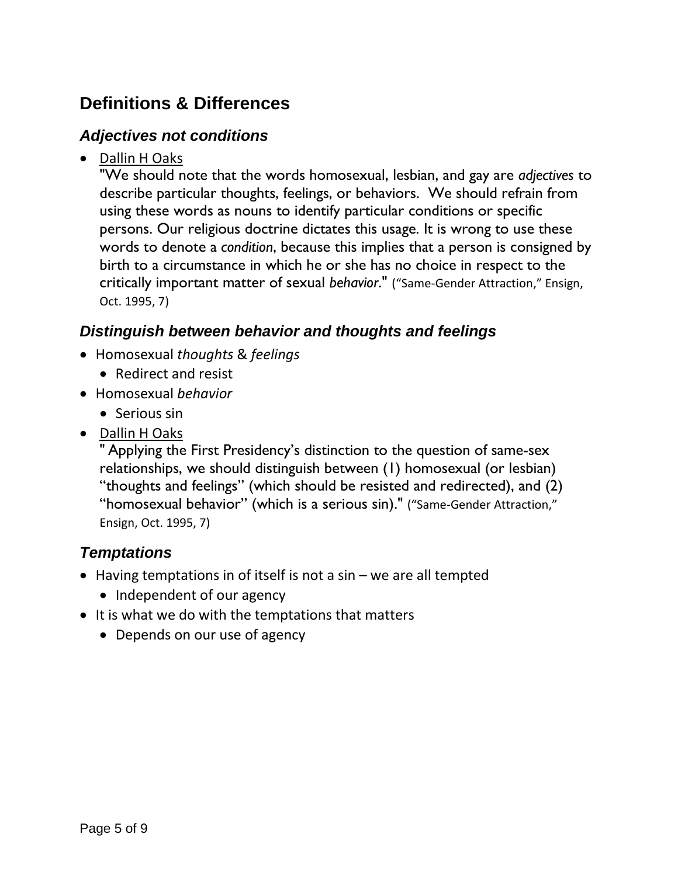## <span id="page-4-0"></span>**Definitions & Differences**

#### <span id="page-4-1"></span>*Adjectives not conditions*

• Dallin H Oaks

"We should note that the words homosexual, lesbian, and gay are *adjectives* to describe particular thoughts, feelings, or behaviors. We should refrain from using these words as nouns to identify particular conditions or specific persons. Our religious doctrine dictates this usage. It is wrong to use these words to denote a *condition*, because this implies that a person is consigned by birth to a circumstance in which he or she has no choice in respect to the critically important matter of sexual *behavior*." ("Same-Gender Attraction," Ensign, Oct. 1995, 7)

### <span id="page-4-2"></span>*Distinguish between behavior and thoughts and feelings*

- Homosexual *thoughts* & *feelings*
	- Redirect and resist
- Homosexual *behavior*
	- Serious sin
- Dallin H Oaks

" Applying the First Presidency's distinction to the question of same-sex relationships, we should distinguish between (1) homosexual (or lesbian) "thoughts and feelings" (which should be resisted and redirected), and (2) "homosexual behavior" (which is a serious sin)." ("Same-Gender Attraction," Ensign, Oct. 1995, 7)

### <span id="page-4-3"></span>*Temptations*

- Having temptations in of itself is not a sin we are all tempted
	- Independent of our agency
- It is what we do with the temptations that matters
	- Depends on our use of agency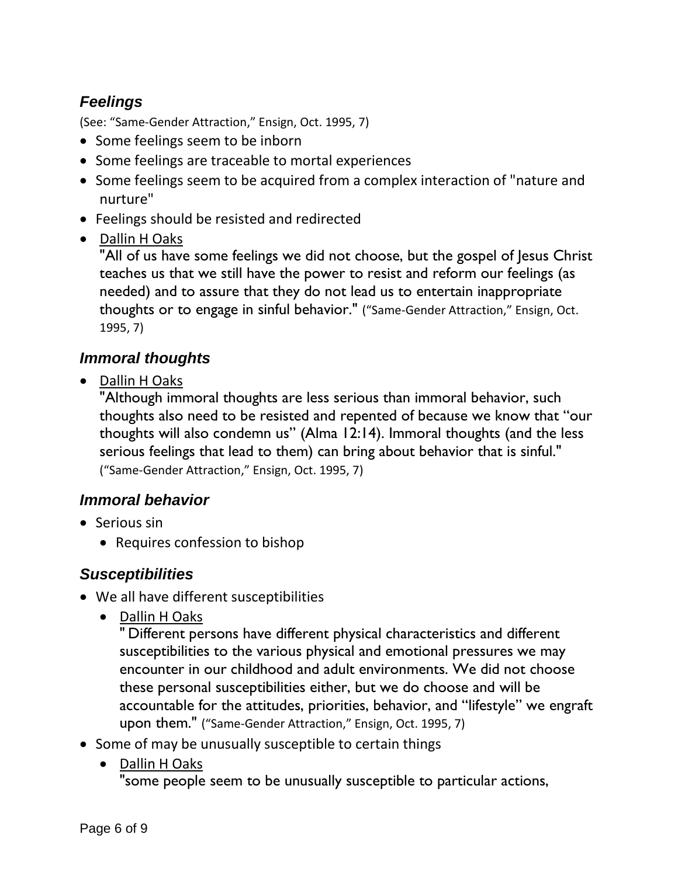### <span id="page-5-0"></span>*Feelings*

(See: "Same-Gender Attraction," Ensign, Oct. 1995, 7)

- Some feelings seem to be inborn
- Some feelings are traceable to mortal experiences
- Some feelings seem to be acquired from a complex interaction of "nature and nurture"
- Feelings should be resisted and redirected
- Dallin H Oaks

"All of us have some feelings we did not choose, but the gospel of Jesus Christ teaches us that we still have the power to resist and reform our feelings (as needed) and to assure that they do not lead us to entertain inappropriate thoughts or to engage in sinful behavior." ("Same-Gender Attraction," Ensign, Oct. 1995, 7)

### <span id="page-5-1"></span>*Immoral thoughts*

• Dallin H Oaks

"Although immoral thoughts are less serious than immoral behavior, such thoughts also need to be resisted and repented of because we know that "our thoughts will also condemn us" (Alma 12:14). Immoral thoughts (and the less serious feelings that lead to them) can bring about behavior that is sinful." ("Same-Gender Attraction," Ensign, Oct. 1995, 7)

### <span id="page-5-2"></span>*Immoral behavior*

- Serious sin
	- Requires confession to bishop

### <span id="page-5-3"></span>*Susceptibilities*

- We all have different susceptibilities
	- Dallin H Oaks

" Different persons have different physical characteristics and different susceptibilities to the various physical and emotional pressures we may encounter in our childhood and adult environments. We did not choose these personal susceptibilities either, but we do choose and will be accountable for the attitudes, priorities, behavior, and "lifestyle" we engraft upon them." ("Same-Gender Attraction," Ensign, Oct. 1995, 7)

- Some of may be unusually susceptible to certain things
	- Dallin H Oaks "some people seem to be unusually susceptible to particular actions,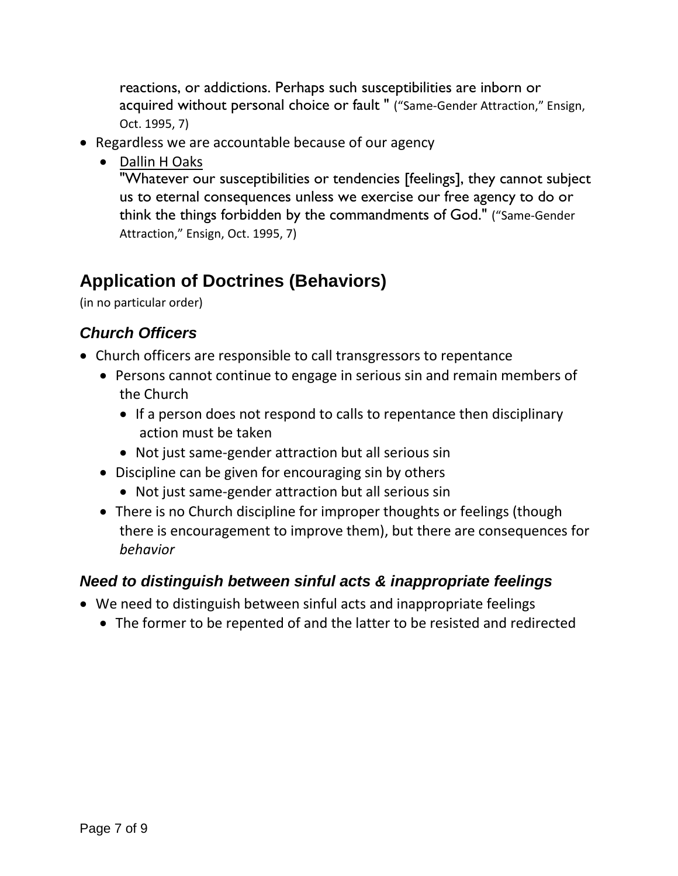reactions, or addictions. Perhaps such susceptibilities are inborn or acquired without personal choice or fault " ("Same-Gender Attraction," Ensign, Oct. 1995, 7)

- Regardless we are accountable because of our agency
	- Dallin H Oaks

"Whatever our susceptibilities or tendencies [feelings], they cannot subject us to eternal consequences unless we exercise our free agency to do or think the things forbidden by the commandments of God." ("Same-Gender Attraction," Ensign, Oct. 1995, 7)

# <span id="page-6-0"></span>**Application of Doctrines (Behaviors)**

(in no particular order)

## <span id="page-6-1"></span>*Church Officers*

- Church officers are responsible to call transgressors to repentance
	- Persons cannot continue to engage in serious sin and remain members of the Church
		- If a person does not respond to calls to repentance then disciplinary action must be taken
		- Not just same-gender attraction but all serious sin
	- Discipline can be given for encouraging sin by others
		- Not just same-gender attraction but all serious sin
	- There is no Church discipline for improper thoughts or feelings (though there is encouragement to improve them), but there are consequences for *behavior*

### <span id="page-6-2"></span>*Need to distinguish between sinful acts & inappropriate feelings*

- We need to distinguish between sinful acts and inappropriate feelings
	- The former to be repented of and the latter to be resisted and redirected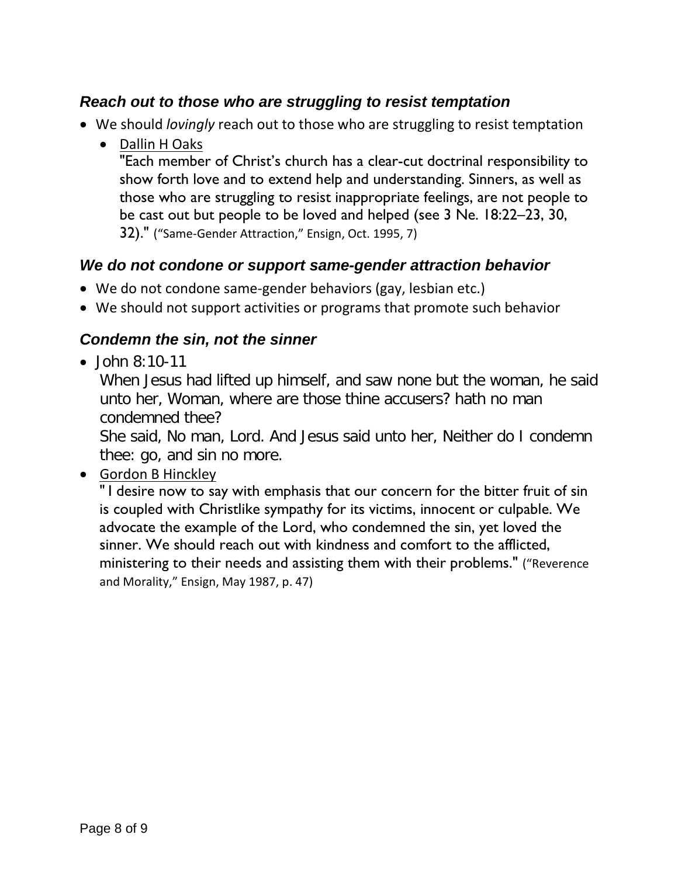### <span id="page-7-0"></span>*Reach out to those who are struggling to resist temptation*

- We should *lovingly* reach out to those who are struggling to resist temptation
	- Dallin H Oaks "Each member of Christ's church has a clear-cut doctrinal responsibility to show forth love and to extend help and understanding. Sinners, as well as those who are struggling to resist inappropriate feelings, are not people to be cast out but people to be loved and helped (see 3 Ne. 18:22–23, 30, 32)." ("Same-Gender Attraction," Ensign, Oct. 1995, 7)

### <span id="page-7-1"></span>*We do not condone or support same-gender attraction behavior*

- We do not condone same-gender behaviors (gay, lesbian etc.)
- We should not support activities or programs that promote such behavior

### <span id="page-7-2"></span>*Condemn the sin, not the sinner*

 $\bullet$  John 8:10-11

When Jesus had lifted up himself, and saw none but the woman, he said unto her, Woman, where are those thine accusers? hath no man condemned thee?

She said, No man, Lord. And Jesus said unto her, Neither do I condemn thee: go, and sin no more.

### • Gordon B Hinckley

" I desire now to say with emphasis that our concern for the bitter fruit of sin is coupled with Christlike sympathy for its victims, innocent or culpable. We advocate the example of the Lord, who condemned the sin, yet loved the sinner. We should reach out with kindness and comfort to the afflicted, ministering to their needs and assisting them with their problems." ("Reverence and Morality," Ensign, May 1987, p. 47)